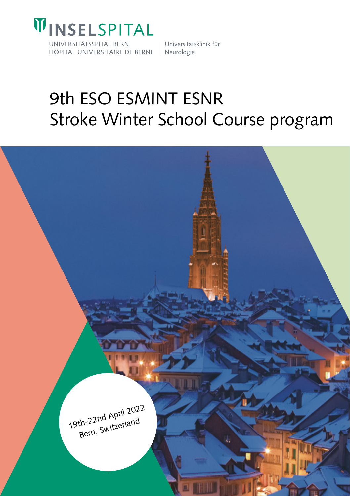

HÔPITAL UNIVERSITAIRE DE BERNE Neurologie

Universitätsklinik für

# 9th ESO ESMINT ESNR Stroke Winter School Course program

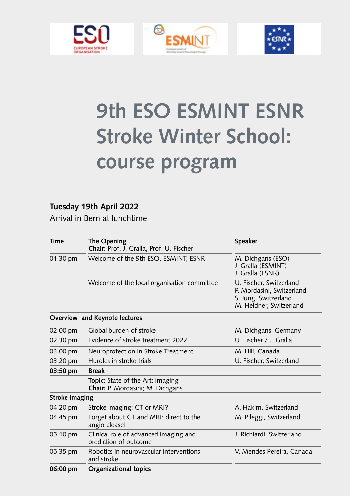





# **9th ESO ESMINT ESNR Stroke Winter School: course program**

#### **Tuesday 19th April 2022**

Arrival in Bern at lunchtime

| Time           | The Opening<br>Chair: Prof. J. Gralla, Prof. U. Fischer              | Speaker                                                                                                 |  |
|----------------|----------------------------------------------------------------------|---------------------------------------------------------------------------------------------------------|--|
| 01:30 pm       | Welcome of the 9th ESO, ESMINT, ESNR                                 | M. Dichgans (ESO)<br>J. Gralla (ESMINT)<br>J. Gralla (ESNR)                                             |  |
|                | Welcome of the local organisation committee                          | U. Fischer, Switzerland<br>P. Mordasini, Switzerland<br>S. Jung, Switzerland<br>M. Heldner, Switzerland |  |
|                | Overview and Keynote lectures                                        |                                                                                                         |  |
| 02:00 pm       | Global burden of stroke                                              | M. Dichgans, Germany                                                                                    |  |
| 02:30 pm       | Evidence of stroke treatment 2022                                    | U. Fischer / J. Gralla                                                                                  |  |
| 03:00 pm       | Neuroprotection in Stroke Treatment                                  | M. Hill, Canada                                                                                         |  |
| 03:20 pm       | Hurdles in stroke trials                                             | U. Fischer, Switzerland                                                                                 |  |
| 03:50 pm       | <b>Break</b>                                                         |                                                                                                         |  |
|                | Topic: State of the Art: Imaging<br>Chair: P. Mordasini; M. Dichgans |                                                                                                         |  |
| Stroke Imaging |                                                                      |                                                                                                         |  |
| 04:20 pm       | Stroke imaging: CT or MRI?                                           | A. Hakim, Switzerland                                                                                   |  |
| 04:45 pm       | Forget about CT and MRI: direct to the<br>angio please!              | M. Pileggi, Switzerland                                                                                 |  |
| 05:10 pm       | Clinical role of advanced imaging and<br>prediction of outcome       | J. Richiardi, Switzerland                                                                               |  |
| 05:35 pm       | Robotics in neurovascular interventions<br>and stroke                | V. Mendes Pereira, Canada                                                                               |  |
| 06:00 pm       | Organizational topics                                                |                                                                                                         |  |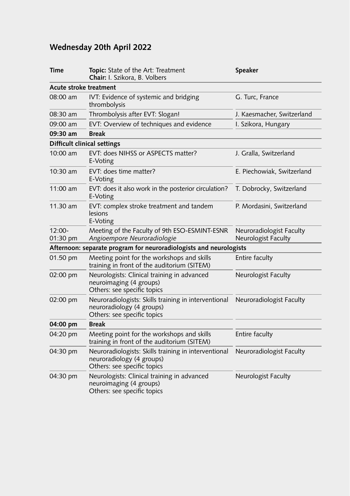### **Wednesday 20th April 2022**

| Time               | Topic: State of the Art: Treatment<br>Chair: I. Szikora, B. Volbers                                              | Speaker                                         |  |
|--------------------|------------------------------------------------------------------------------------------------------------------|-------------------------------------------------|--|
|                    | Acute stroke treatment                                                                                           |                                                 |  |
| 08:00 am           | IVT: Evidence of systemic and bridging<br>thrombolysis                                                           | G. Turc, France                                 |  |
| 08:30 am           | Thrombolysis after EVT: Slogan!                                                                                  | J. Kaesmacher, Switzerland                      |  |
| 09:00 am           | EVT: Overview of techniques and evidence                                                                         | I. Szikora, Hungary                             |  |
| 09:30 am           | <b>Break</b>                                                                                                     |                                                 |  |
|                    | Difficult clinical settings                                                                                      |                                                 |  |
| 10:00 am           | EVT: does NIHSS or ASPECTS matter?<br>E-Voting                                                                   | J. Gralla, Switzerland                          |  |
| 10:30 am           | EVT: does time matter?<br>E-Voting                                                                               | E. Piechowiak, Switzerland                      |  |
| 11:00 am           | EVT: does it also work in the posterior circulation?<br>E-Voting                                                 | T. Dobrocky, Switzerland                        |  |
| 11.30 am           | EVT: complex stroke treatment and tandem<br>lesions<br>E-Voting                                                  | P. Mordasini, Switzerland                       |  |
| 12:00-<br>01:30 pm | Meeting of the Faculty of 9th ESO-ESMINT-ESNR<br>Angioempore Neuroradiologie                                     | Neuroradiologist Faculty<br>Neurologist Faculty |  |
|                    | Afternoon: separate program for neuroradiologists and neurologists                                               |                                                 |  |
| 01.50 pm           | Meeting point for the workshops and skills<br>training in front of the auditorium (SITEM)                        | Entire faculty                                  |  |
| 02:00 pm           | Neurologists: Clinical training in advanced<br>neuroimaging (4 groups)<br>Others: see specific topics            | Neurologist Faculty                             |  |
| 02:00 pm           | Neuroradiologists: Skills training in interventional<br>neuroradiology (4 groups)<br>Others: see specific topics | Neuroradiologist Faculty                        |  |
| 04:00 pm           | Break                                                                                                            |                                                 |  |
| 04:20 pm           | Meeting point for the workshops and skills<br>training in front of the auditorium (SITEM)                        | Entire faculty                                  |  |
| 04:30 pm           | Neuroradiologists: Skills training in interventional<br>neuroradiology (4 groups)<br>Others: see specific topics | Neuroradiologist Faculty                        |  |
| 04:30 pm           | Neurologists: Clinical training in advanced<br>neuroimaging (4 groups)<br>Others: see specific topics            | Neurologist Faculty                             |  |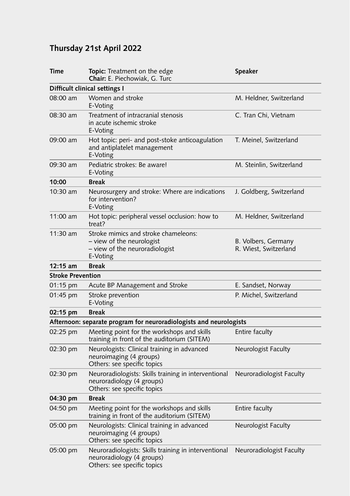### **Thursday 21st April 2022**

| Time                          | Topic: Treatment on the edge<br>Speaker<br>Chair: E. Piechowiak, G. Turc                                         |                                              |  |  |  |  |
|-------------------------------|------------------------------------------------------------------------------------------------------------------|----------------------------------------------|--|--|--|--|
| Difficult clinical settings I |                                                                                                                  |                                              |  |  |  |  |
| 08:00 am                      | Women and stroke<br>M. Heldner, Switzerland<br>E-Voting                                                          |                                              |  |  |  |  |
| 08:30 am                      | Treatment of intracranial stenosis<br>in acute ischemic stroke<br>E-Voting                                       | C. Tran Chi, Vietnam                         |  |  |  |  |
| 09:00 am                      | Hot topic: peri- and post-stoke anticoagulation<br>and antiplatelet management<br>E-Voting                       | T. Meinel, Switzerland                       |  |  |  |  |
| 09:30 am                      | Pediatric strokes: Be aware!<br>E-Voting                                                                         | M. Steinlin, Switzerland                     |  |  |  |  |
| 10:00                         | <b>Break</b>                                                                                                     |                                              |  |  |  |  |
| 10:30 am                      | Neurosurgery and stroke: Where are indications<br>for intervention?<br>E-Voting                                  | J. Goldberg, Switzerland                     |  |  |  |  |
| $11:00$ am                    | Hot topic: peripheral vessel occlusion: how to<br>treat?                                                         | M. Heldner, Switzerland                      |  |  |  |  |
| $11:30$ am                    | Stroke mimics and stroke chameleons:<br>- view of the neurologist<br>- view of the neuroradiologist<br>E-Voting  | B. Volbers, Germany<br>R. Wiest, Switzerland |  |  |  |  |
| $12:15$ am                    | <b>Break</b>                                                                                                     |                                              |  |  |  |  |
| <b>Stroke Prevention</b>      |                                                                                                                  |                                              |  |  |  |  |
| 01:15 pm                      | Acute BP Management and Stroke                                                                                   | E. Sandset, Norway                           |  |  |  |  |
| 01:45 pm                      | Stroke prevention<br>E-Voting                                                                                    | P. Michel, Switzerland                       |  |  |  |  |
| 02:15 pm                      | <b>Break</b>                                                                                                     |                                              |  |  |  |  |
|                               | Afternoon: separate program for neuroradiologists and neurologists                                               |                                              |  |  |  |  |
| 02:25 pm                      | Meeting point for the workshops and skills<br>training in front of the auditorium (SITEM)                        | Entire faculty                               |  |  |  |  |
| 02:30 pm                      | Neurologists: Clinical training in advanced<br>neuroimaging (4 groups)<br>Others: see specific topics            | Neurologist Faculty                          |  |  |  |  |
| 02:30 pm                      | Neuroradiologists: Skills training in interventional<br>neuroradiology (4 groups)<br>Others: see specific topics | Neuroradiologist Faculty                     |  |  |  |  |
| 04:30 pm                      | <b>Break</b>                                                                                                     |                                              |  |  |  |  |
| 04:50 pm                      | Meeting point for the workshops and skills<br>training in front of the auditorium (SITEM)                        | Entire faculty                               |  |  |  |  |
| 05:00 pm                      | Neurologists: Clinical training in advanced<br>neuroimaging (4 groups)<br>Others: see specific topics            | Neurologist Faculty                          |  |  |  |  |
| 05:00 pm                      | Neuroradiologists: Skills training in interventional<br>neuroradiology (4 groups)<br>Others: see specific topics | Neuroradiologist Faculty                     |  |  |  |  |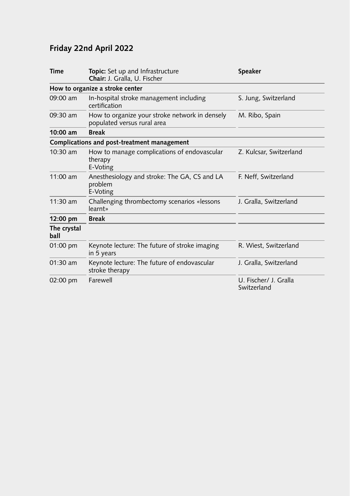## **Friday 22nd April 2022**

| <b>Time</b>         | <b>Topic:</b> Set up and Infrastructure<br>Speaker<br>Chair: J. Gralla, U. Fischer |                                      |  |
|---------------------|------------------------------------------------------------------------------------|--------------------------------------|--|
|                     | How to organize a stroke center                                                    |                                      |  |
| 09:00 am            | In-hospital stroke management including<br>S. Jung, Switzerland<br>certification   |                                      |  |
| 09:30 am            | How to organize your stroke network in densely<br>populated versus rural area      | M. Ribo, Spain                       |  |
| $10:00$ am          | <b>Break</b>                                                                       |                                      |  |
|                     | Complications and post-treatment management                                        |                                      |  |
| 10:30 am            | How to manage complications of endovascular<br>therapy<br>E-Voting                 | Z. Kulcsar, Switzerland              |  |
| $11:00$ am          | Anesthesiology and stroke: The GA, CS and LA<br>problem<br>E-Voting                | F. Neff, Switzerland                 |  |
| $11:30$ am          | Challenging thrombectomy scenarios «lessons<br>learnt»                             | J. Gralla, Switzerland               |  |
| $12:00 \text{ pm}$  | <b>Break</b>                                                                       |                                      |  |
| The crystal<br>ball |                                                                                    |                                      |  |
| 01:00 pm            | Keynote lecture: The future of stroke imaging<br>in 5 years                        | R. Wiest, Switzerland                |  |
| 01:30 am            | Keynote lecture: The future of endovascular<br>stroke therapy                      | J. Gralla, Switzerland               |  |
| $02:00$ pm          | Farewell                                                                           | U. Fischer/ J. Gralla<br>Switzerland |  |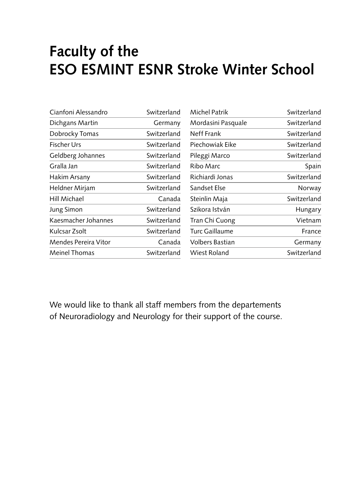## **Faculty of the ESO ESMINT ESNR Stroke Winter School**

| Cianfoni Alessandro  | Switzerland | <b>Michel Patrik</b>   | Switzerland |
|----------------------|-------------|------------------------|-------------|
| Dichgans Martin      | Germany     | Mordasini Pasquale     | Switzerland |
| Dobrocky Tomas       | Switzerland | Neff Frank             | Switzerland |
| <b>Fischer Urs</b>   | Switzerland | Piechowiak Eike        | Switzerland |
| Geldberg Johannes    | Switzerland | Pileggi Marco          | Switzerland |
| Gralla Jan           | Switzerland | Ribo Marc              | Spain       |
| Hakim Arsany         | Switzerland | Richiardi Jonas        | Switzerland |
| Heldner Mirjam       | Switzerland | Sandset Else           | Norway      |
| Hill Michael         | Canada      | Steinlin Maja          | Switzerland |
| <b>Jung Simon</b>    | Switzerland | Szikora István         | Hungary     |
| Kaesmacher Johannes  | Switzerland | Tran Chi Cuong         | Vietnam     |
| Kulcsar Zsolt        | Switzerland | Turc Gaillaume         | France      |
| Mendes Pereira Vitor | Canada      | <b>Volbers Bastian</b> | Germany     |
| Meinel Thomas        | Switzerland | Wiest Roland           | Switzerland |
|                      |             |                        |             |

We would like to thank all staff members from the departements of Neuroradiology and Neurology for their support of the course.